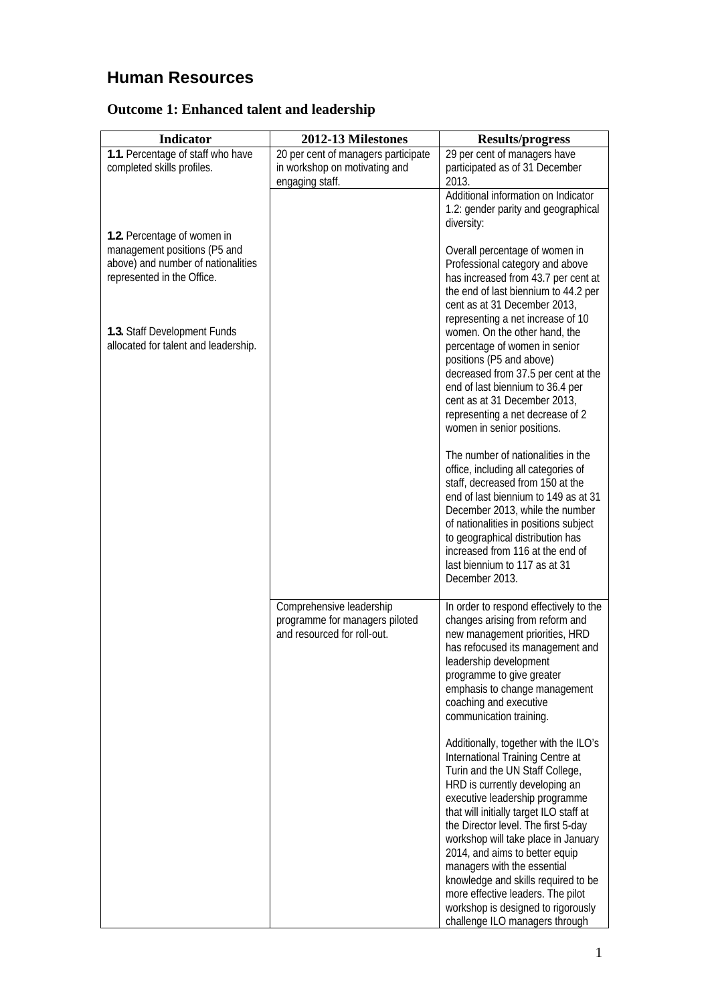# **Human Resources**

## **Outcome 1: Enhanced talent and leadership**

| <b>Indicator</b>                                                                                                                | 2012-13 Milestones                                                                        | <b>Results/progress</b>                                                                                                                                                                                                                                                                                                                                                                                                                                                                                                        |
|---------------------------------------------------------------------------------------------------------------------------------|-------------------------------------------------------------------------------------------|--------------------------------------------------------------------------------------------------------------------------------------------------------------------------------------------------------------------------------------------------------------------------------------------------------------------------------------------------------------------------------------------------------------------------------------------------------------------------------------------------------------------------------|
| 1.1. Percentage of staff who have<br>completed skills profiles.                                                                 | 20 per cent of managers participate<br>in workshop on motivating and<br>engaging staff.   | 29 per cent of managers have<br>participated as of 31 December<br>2013.                                                                                                                                                                                                                                                                                                                                                                                                                                                        |
|                                                                                                                                 |                                                                                           | Additional information on Indicator<br>1.2: gender parity and geographical<br>diversity:                                                                                                                                                                                                                                                                                                                                                                                                                                       |
| 1.2. Percentage of women in<br>management positions (P5 and<br>above) and number of nationalities<br>represented in the Office. |                                                                                           | Overall percentage of women in<br>Professional category and above<br>has increased from 43.7 per cent at<br>the end of last biennium to 44.2 per<br>cent as at 31 December 2013,<br>representing a net increase of 10                                                                                                                                                                                                                                                                                                          |
| 1.3. Staff Development Funds<br>allocated for talent and leadership.                                                            |                                                                                           | women. On the other hand, the<br>percentage of women in senior<br>positions (P5 and above)<br>decreased from 37.5 per cent at the<br>end of last biennium to 36.4 per<br>cent as at 31 December 2013,<br>representing a net decrease of 2<br>women in senior positions.                                                                                                                                                                                                                                                        |
|                                                                                                                                 |                                                                                           | The number of nationalities in the<br>office, including all categories of<br>staff, decreased from 150 at the<br>end of last biennium to 149 as at 31<br>December 2013, while the number<br>of nationalities in positions subject<br>to geographical distribution has<br>increased from 116 at the end of<br>last biennium to 117 as at 31<br>December 2013.                                                                                                                                                                   |
|                                                                                                                                 | Comprehensive leadership<br>programme for managers piloted<br>and resourced for roll-out. | In order to respond effectively to the<br>changes arising from reform and<br>new management priorities, HRD<br>has refocused its management and<br>leadership development<br>programme to give greater<br>emphasis to change management<br>coaching and executive<br>communication training.                                                                                                                                                                                                                                   |
|                                                                                                                                 |                                                                                           | Additionally, together with the ILO's<br>International Training Centre at<br>Turin and the UN Staff College,<br>HRD is currently developing an<br>executive leadership programme<br>that will initially target ILO staff at<br>the Director level. The first 5-day<br>workshop will take place in January<br>2014, and aims to better equip<br>managers with the essential<br>knowledge and skills required to be<br>more effective leaders. The pilot<br>workshop is designed to rigorously<br>challenge ILO managers through |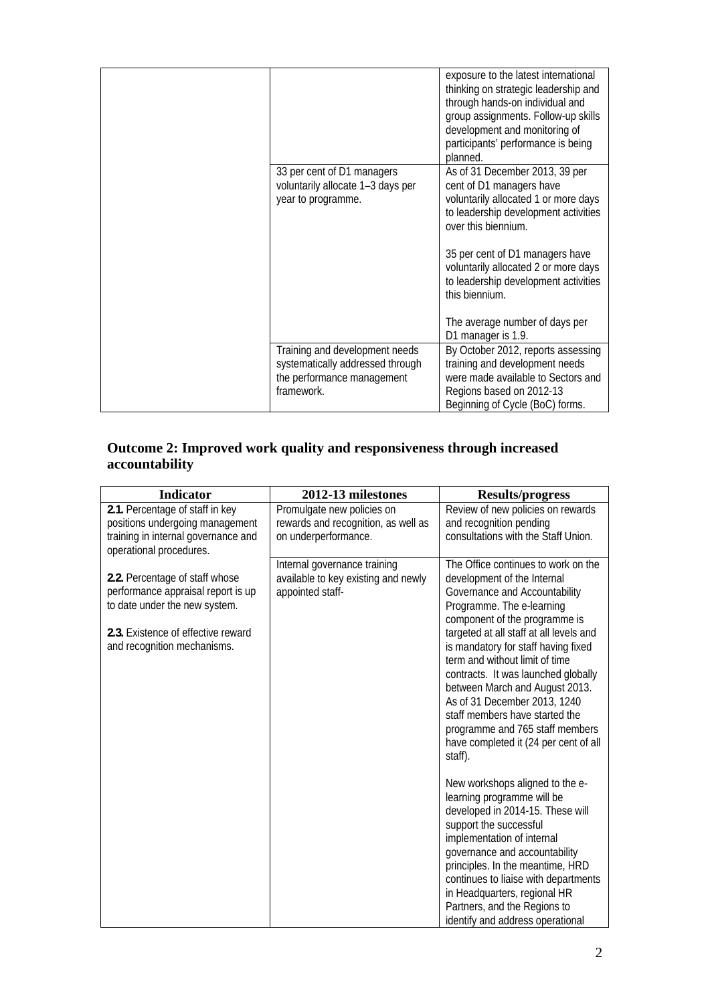|                                                                                                                | exposure to the latest international<br>thinking on strategic leadership and<br>through hands-on individual and<br>group assignments. Follow-up skills<br>development and monitoring of<br>participants' performance is being<br>planned. |
|----------------------------------------------------------------------------------------------------------------|-------------------------------------------------------------------------------------------------------------------------------------------------------------------------------------------------------------------------------------------|
| 33 per cent of D1 managers<br>voluntarily allocate 1-3 days per<br>year to programme.                          | As of 31 December 2013, 39 per<br>cent of D1 managers have<br>voluntarily allocated 1 or more days<br>to leadership development activities<br>over this biennium.                                                                         |
|                                                                                                                | 35 per cent of D1 managers have<br>voluntarily allocated 2 or more days<br>to leadership development activities<br>this biennium.<br>The average number of days per                                                                       |
|                                                                                                                | D1 manager is 1.9.                                                                                                                                                                                                                        |
| Training and development needs<br>systematically addressed through<br>the performance management<br>framework. | By October 2012, reports assessing<br>training and development needs<br>were made available to Sectors and<br>Regions based on 2012-13<br>Beginning of Cycle (BoC) forms.                                                                 |

### **Outcome 2: Improved work quality and responsiveness through increased accountability**

| <b>Indicator</b>                                                                                                                                                           | 2012-13 milestones                                                                        | <b>Results/progress</b>                                                                                                                                                                                                                                                                                                                                                                                                                                                                                                 |
|----------------------------------------------------------------------------------------------------------------------------------------------------------------------------|-------------------------------------------------------------------------------------------|-------------------------------------------------------------------------------------------------------------------------------------------------------------------------------------------------------------------------------------------------------------------------------------------------------------------------------------------------------------------------------------------------------------------------------------------------------------------------------------------------------------------------|
| 2.1. Percentage of staff in key<br>positions undergoing management<br>training in internal governance and<br>operational procedures.                                       | Promulgate new policies on<br>rewards and recognition, as well as<br>on underperformance. | Review of new policies on rewards<br>and recognition pending<br>consultations with the Staff Union.                                                                                                                                                                                                                                                                                                                                                                                                                     |
| 2.2. Percentage of staff whose<br>performance appraisal report is up<br>to date under the new system.<br>2.3. Existence of effective reward<br>and recognition mechanisms. | Internal governance training<br>available to key existing and newly<br>appointed staff-   | The Office continues to work on the<br>development of the Internal<br>Governance and Accountability<br>Programme. The e-learning<br>component of the programme is<br>targeted at all staff at all levels and<br>is mandatory for staff having fixed<br>term and without limit of time<br>contracts. It was launched globally<br>between March and August 2013.<br>As of 31 December 2013, 1240<br>staff members have started the<br>programme and 765 staff members<br>have completed it (24 per cent of all<br>staff). |
|                                                                                                                                                                            |                                                                                           | New workshops aligned to the e-<br>learning programme will be<br>developed in 2014-15. These will<br>support the successful<br>implementation of internal<br>governance and accountability<br>principles. In the meantime, HRD<br>continues to liaise with departments<br>in Headquarters, regional HR<br>Partners, and the Regions to<br>identify and address operational                                                                                                                                              |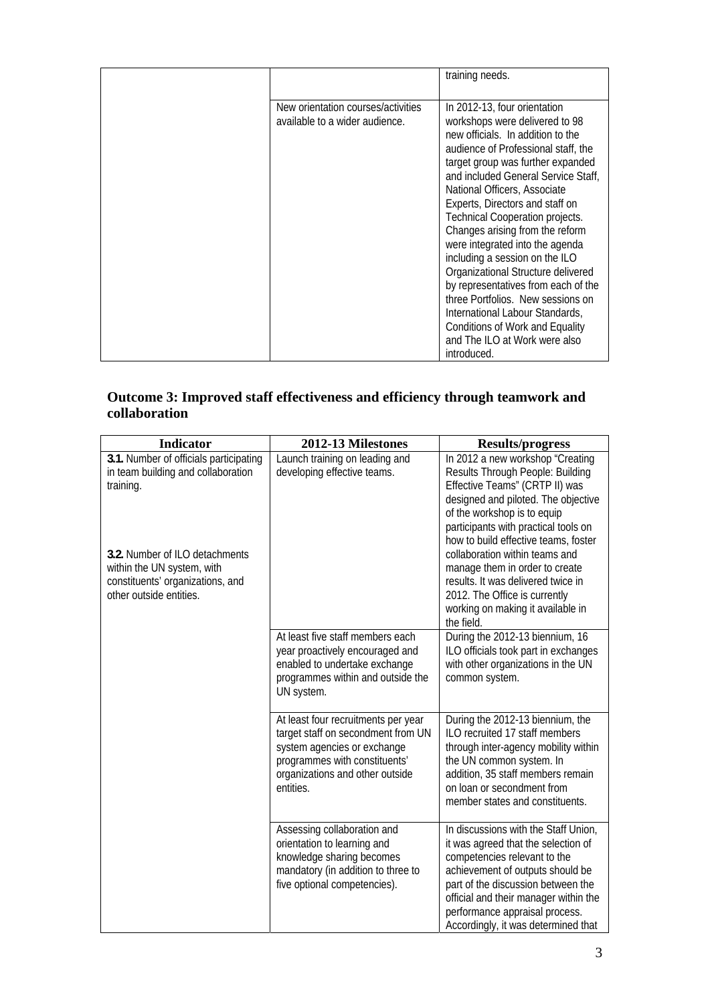|                                                                      | training needs.                                                                                                                                                                                                                                                                                                                                                                                                                                                                                                                                                                                                                                                                     |
|----------------------------------------------------------------------|-------------------------------------------------------------------------------------------------------------------------------------------------------------------------------------------------------------------------------------------------------------------------------------------------------------------------------------------------------------------------------------------------------------------------------------------------------------------------------------------------------------------------------------------------------------------------------------------------------------------------------------------------------------------------------------|
| New orientation courses/activities<br>available to a wider audience. | In 2012-13, four orientation<br>workshops were delivered to 98<br>new officials. In addition to the<br>audience of Professional staff, the<br>target group was further expanded<br>and included General Service Staff,<br>National Officers, Associate<br>Experts, Directors and staff on<br><b>Technical Cooperation projects.</b><br>Changes arising from the reform<br>were integrated into the agenda<br>including a session on the ILO<br>Organizational Structure delivered<br>by representatives from each of the<br>three Portfolios. New sessions on<br>International Labour Standards,<br>Conditions of Work and Equality<br>and The ILO at Work were also<br>introduced. |

#### **Outcome 3: Improved staff effectiveness and efficiency through teamwork and collaboration**

| <b>Indicator</b>                                                                                                            | 2012-13 Milestones                                                                                                                                                                        | <b>Results/progress</b>                                                                                                                                                                                                                                                                                 |
|-----------------------------------------------------------------------------------------------------------------------------|-------------------------------------------------------------------------------------------------------------------------------------------------------------------------------------------|---------------------------------------------------------------------------------------------------------------------------------------------------------------------------------------------------------------------------------------------------------------------------------------------------------|
| 3.1. Number of officials participating<br>in team building and collaboration<br>training.                                   | Launch training on leading and<br>developing effective teams.                                                                                                                             | In 2012 a new workshop "Creating<br>Results Through People: Building<br>Effective Teams" (CRTP II) was<br>designed and piloted. The objective<br>of the workshop is to equip<br>participants with practical tools on<br>how to build effective teams, foster                                            |
| 3.2. Number of ILO detachments<br>within the UN system, with<br>constituents' organizations, and<br>other outside entities. |                                                                                                                                                                                           | collaboration within teams and<br>manage them in order to create<br>results. It was delivered twice in<br>2012. The Office is currently<br>working on making it available in<br>the field.                                                                                                              |
|                                                                                                                             | At least five staff members each<br>year proactively encouraged and<br>enabled to undertake exchange<br>programmes within and outside the<br>UN system.                                   | During the 2012-13 biennium, 16<br>ILO officials took part in exchanges<br>with other organizations in the UN<br>common system.                                                                                                                                                                         |
|                                                                                                                             | At least four recruitments per year<br>target staff on secondment from UN<br>system agencies or exchange<br>programmes with constituents'<br>organizations and other outside<br>entities. | During the 2012-13 biennium, the<br>ILO recruited 17 staff members<br>through inter-agency mobility within<br>the UN common system. In<br>addition, 35 staff members remain<br>on loan or secondment from<br>member states and constituents.                                                            |
|                                                                                                                             | Assessing collaboration and<br>orientation to learning and<br>knowledge sharing becomes<br>mandatory (in addition to three to<br>five optional competencies).                             | In discussions with the Staff Union,<br>it was agreed that the selection of<br>competencies relevant to the<br>achievement of outputs should be<br>part of the discussion between the<br>official and their manager within the<br>performance appraisal process.<br>Accordingly, it was determined that |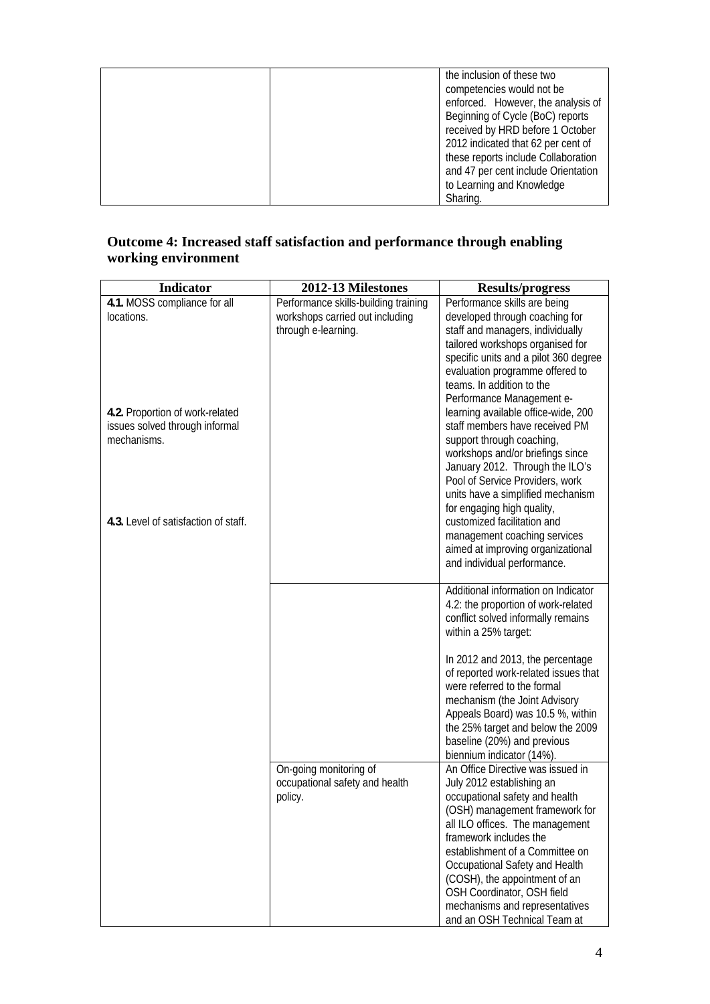| the inclusion of these two<br>competencies would not be                   |
|---------------------------------------------------------------------------|
| enforced. However, the analysis of<br>Beginning of Cycle (BoC) reports    |
| received by HRD before 1 October                                          |
| 2012 indicated that 62 per cent of<br>these reports include Collaboration |
| and 47 per cent include Orientation<br>to Learning and Knowledge          |
| Sharing.                                                                  |

#### **Outcome 4: Increased staff satisfaction and performance through enabling working environment**

| <b>Indicator</b>                     | 2012-13 Milestones                   | <b>Results/progress</b>                                                                                                                                                                                                                                                                                                                                                                                                                                                                                                                                                                                                                                        |
|--------------------------------------|--------------------------------------|----------------------------------------------------------------------------------------------------------------------------------------------------------------------------------------------------------------------------------------------------------------------------------------------------------------------------------------------------------------------------------------------------------------------------------------------------------------------------------------------------------------------------------------------------------------------------------------------------------------------------------------------------------------|
| 4.1. MOSS compliance for all         | Performance skills-building training | Performance skills are being                                                                                                                                                                                                                                                                                                                                                                                                                                                                                                                                                                                                                                   |
| locations.                           | workshops carried out including      | developed through coaching for                                                                                                                                                                                                                                                                                                                                                                                                                                                                                                                                                                                                                                 |
|                                      | through e-learning.                  | staff and managers, individually                                                                                                                                                                                                                                                                                                                                                                                                                                                                                                                                                                                                                               |
|                                      |                                      | tailored workshops organised for                                                                                                                                                                                                                                                                                                                                                                                                                                                                                                                                                                                                                               |
|                                      |                                      | specific units and a pilot 360 degree                                                                                                                                                                                                                                                                                                                                                                                                                                                                                                                                                                                                                          |
|                                      |                                      | evaluation programme offered to                                                                                                                                                                                                                                                                                                                                                                                                                                                                                                                                                                                                                                |
|                                      |                                      | teams. In addition to the                                                                                                                                                                                                                                                                                                                                                                                                                                                                                                                                                                                                                                      |
| 4.2. Proportion of work-related      |                                      | Performance Management e-<br>learning available office-wide, 200                                                                                                                                                                                                                                                                                                                                                                                                                                                                                                                                                                                               |
| issues solved through informal       |                                      | staff members have received PM                                                                                                                                                                                                                                                                                                                                                                                                                                                                                                                                                                                                                                 |
| mechanisms.                          |                                      | support through coaching,                                                                                                                                                                                                                                                                                                                                                                                                                                                                                                                                                                                                                                      |
|                                      |                                      | workshops and/or briefings since                                                                                                                                                                                                                                                                                                                                                                                                                                                                                                                                                                                                                               |
|                                      |                                      | January 2012. Through the ILO's                                                                                                                                                                                                                                                                                                                                                                                                                                                                                                                                                                                                                                |
|                                      |                                      | Pool of Service Providers, work                                                                                                                                                                                                                                                                                                                                                                                                                                                                                                                                                                                                                                |
|                                      |                                      | units have a simplified mechanism                                                                                                                                                                                                                                                                                                                                                                                                                                                                                                                                                                                                                              |
|                                      |                                      | for engaging high quality,                                                                                                                                                                                                                                                                                                                                                                                                                                                                                                                                                                                                                                     |
| 4.3. Level of satisfaction of staff. |                                      | customized facilitation and                                                                                                                                                                                                                                                                                                                                                                                                                                                                                                                                                                                                                                    |
|                                      |                                      | management coaching services                                                                                                                                                                                                                                                                                                                                                                                                                                                                                                                                                                                                                                   |
|                                      |                                      | aimed at improving organizational                                                                                                                                                                                                                                                                                                                                                                                                                                                                                                                                                                                                                              |
|                                      |                                      | and individual performance.                                                                                                                                                                                                                                                                                                                                                                                                                                                                                                                                                                                                                                    |
|                                      |                                      |                                                                                                                                                                                                                                                                                                                                                                                                                                                                                                                                                                                                                                                                |
|                                      |                                      |                                                                                                                                                                                                                                                                                                                                                                                                                                                                                                                                                                                                                                                                |
|                                      |                                      |                                                                                                                                                                                                                                                                                                                                                                                                                                                                                                                                                                                                                                                                |
|                                      |                                      |                                                                                                                                                                                                                                                                                                                                                                                                                                                                                                                                                                                                                                                                |
|                                      |                                      |                                                                                                                                                                                                                                                                                                                                                                                                                                                                                                                                                                                                                                                                |
|                                      |                                      | In 2012 and 2013, the percentage                                                                                                                                                                                                                                                                                                                                                                                                                                                                                                                                                                                                                               |
|                                      |                                      |                                                                                                                                                                                                                                                                                                                                                                                                                                                                                                                                                                                                                                                                |
|                                      |                                      |                                                                                                                                                                                                                                                                                                                                                                                                                                                                                                                                                                                                                                                                |
|                                      |                                      |                                                                                                                                                                                                                                                                                                                                                                                                                                                                                                                                                                                                                                                                |
|                                      |                                      |                                                                                                                                                                                                                                                                                                                                                                                                                                                                                                                                                                                                                                                                |
|                                      |                                      |                                                                                                                                                                                                                                                                                                                                                                                                                                                                                                                                                                                                                                                                |
|                                      |                                      |                                                                                                                                                                                                                                                                                                                                                                                                                                                                                                                                                                                                                                                                |
|                                      |                                      |                                                                                                                                                                                                                                                                                                                                                                                                                                                                                                                                                                                                                                                                |
|                                      | occupational safety and health       |                                                                                                                                                                                                                                                                                                                                                                                                                                                                                                                                                                                                                                                                |
|                                      | policy.                              | occupational safety and health                                                                                                                                                                                                                                                                                                                                                                                                                                                                                                                                                                                                                                 |
|                                      |                                      | (OSH) management framework for                                                                                                                                                                                                                                                                                                                                                                                                                                                                                                                                                                                                                                 |
|                                      |                                      | all ILO offices. The management                                                                                                                                                                                                                                                                                                                                                                                                                                                                                                                                                                                                                                |
|                                      |                                      | framework includes the                                                                                                                                                                                                                                                                                                                                                                                                                                                                                                                                                                                                                                         |
|                                      |                                      |                                                                                                                                                                                                                                                                                                                                                                                                                                                                                                                                                                                                                                                                |
|                                      |                                      |                                                                                                                                                                                                                                                                                                                                                                                                                                                                                                                                                                                                                                                                |
|                                      |                                      |                                                                                                                                                                                                                                                                                                                                                                                                                                                                                                                                                                                                                                                                |
|                                      |                                      |                                                                                                                                                                                                                                                                                                                                                                                                                                                                                                                                                                                                                                                                |
|                                      |                                      |                                                                                                                                                                                                                                                                                                                                                                                                                                                                                                                                                                                                                                                                |
|                                      | On-going monitoring of               | Additional information on Indicator<br>4.2: the proportion of work-related<br>conflict solved informally remains<br>within a 25% target:<br>of reported work-related issues that<br>were referred to the formal<br>mechanism (the Joint Advisory<br>Appeals Board) was 10.5 %, within<br>the 25% target and below the 2009<br>baseline (20%) and previous<br>biennium indicator (14%).<br>An Office Directive was issued in<br>July 2012 establishing an<br>establishment of a Committee on<br>Occupational Safety and Health<br>(COSH), the appointment of an<br>OSH Coordinator, OSH field<br>mechanisms and representatives<br>and an OSH Technical Team at |